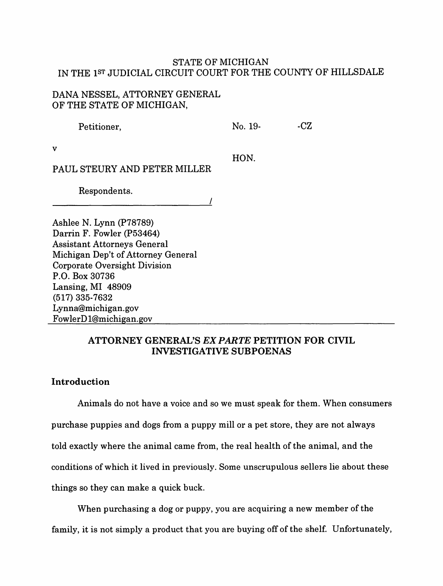# STATE OF MICHIGAN IN THE 1ST JUDICIAL CIRCUIT COURT FOR THE COUNTY OF HILLSDALE

# DANA NESSEL, ATTORNEY GENERAL OF THE STATE OF MICHIGAN,

| Petitioner,                                       | No. 19- | -CZ |
|---------------------------------------------------|---------|-----|
| v<br>PAUL STEURY AND PETER MILLER<br>Respondents. | HON.    |     |
|                                                   |         |     |
|                                                   |         |     |
| Ashlee N. Lynn (P78789)                           |         |     |
| Darrin F. Fowler (P53464)                         |         |     |
| <b>Assistant Attorneys General</b>                |         |     |
| Michigan Dep't of Attorney General                |         |     |
| Corporate Oversight Division                      |         |     |
| P.O. Box 30736                                    |         |     |
| Lansing, MI 48909                                 |         |     |
| $(517)$ 335-7632                                  |         |     |

# **ATTORNEY GENERAL'S** *EX PAR.TE* **PETITION FOR CIVIL INVESTIGATIVE SUBPOENAS**

# **Introduction**

Lynna@michigan.gov Fowler D l@michigan.gov

Animals do not have a voice and so we must speak for them. When consumers purchase puppies and dogs from a puppy mill or a pet store, they are not always told exactly where the animal came from, the real health of the animal, and the conditions of which it lived in previously. Some unscrupulous sellers lie about these things so they can make a quick buck.

When purchasing a dog or puppy, you are acquiring a new member of the family, it is not simply a product that you are buying off of the shelf. Unfortunately,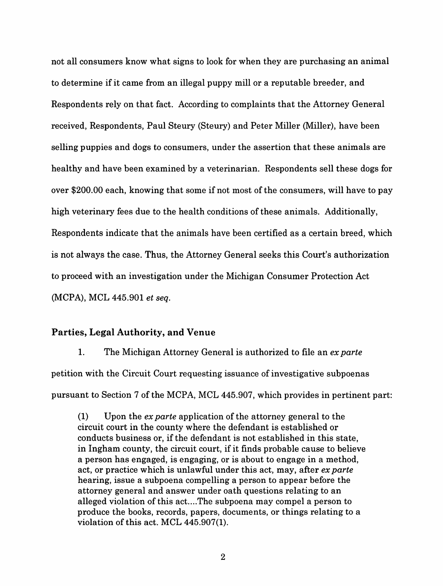not all consumers know what signs to look for when they are purchasing an animal to determine if it came from an illegal puppy mill or a reputable breeder, and Respondents rely on that fact. According to complaints that the Attorney General received, Respondents, Paul Steury (Steury) and Peter Miller (Miller), have been selling puppies and dogs to consumers, under the assertion that these animals are healthy and have been examined by a veterinarian. Respondents sell these dogs for over \$200.00 each, knowing that some if not most of the consumers, will have to pay high veterinary fees due to the health conditions of these animals. Additionally, Respondents indicate that the animals have been certified as a certain breed, which is not always the case. Thus, the Attorney General seeks this Court's authorization to proceed with an investigation under the Michigan Consumer Protection Act (MCPA), MCL 445.901 *et seq.* 

### **Parties, Legal Authority, and Venue**

1. The Michigan Attorney General is authorized to file an *ex parte*  petition with the Circuit Court requesting issuance of investigative subpoenas pursuant to Section 7 of the MCPA, MCL 445.907, which provides in pertinent part:

(1) Upon the *ex parte* application of the attorney general to the circuit court in the county where the defendant is established or conducts business or, if the defendant is not established in this state, in Ingham county, the circuit court, if it finds probable cause to believe a person has engaged, is engaging, or is about to engage in a method, act, or practice which is unlawful under this act, may, after *ex parte*  hearing, issue a subpoena compelling a person to appear before the attorney general and answer under oath questions relating to an alleged violation of this act....The subpoena may compel a person to produce the books, records, papers, documents, or things relating to a violation of this act. MCL 445.907(1).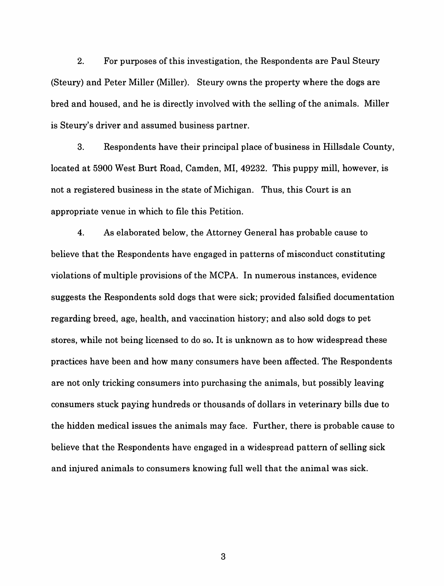2. For purposes of this investigation, the Respondents are Paul Steury (Steury) and Peter Miller (Miller). Steury owns the property where the dogs are bred and housed, and he is directly involved with the selling of the animals. Miller is Steury's driver and assumed business partner.

3. Respondents have their principal place of business in Hillsdale County, located at 5900 West Burt Road, Camden, MI, 49232. This puppy mill, however, is not a registered business in the state of Michigan. Thus, this Court is an appropriate venue in which to file this Petition.

4. As elaborated below, the Attorney General has probable cause to believe that the Respondents have engaged in patterns of misconduct constituting violations of multiple provisions of the MCPA. In numerous instances, evidence suggests the Respondents sold dogs that were sick; provided falsified documentation regarding breed, age, health, and vaccination history; and also sold dogs to pet stores, while not being licensed to do so. It is unknown as to how widespread these practices have been and how many consumers have been affected. The Respondents are not only tricking consumers into purchasing the animals, but possibly leaving consumers stuck paying hundreds or thousands of dollars in veterinary bills due to the hidden medical issues the animals may face. Further, there is probable cause to believe that the Respondents have engaged in a widespread pattern of selling sick and injured animals to consumers knowing full well that the animal was sick.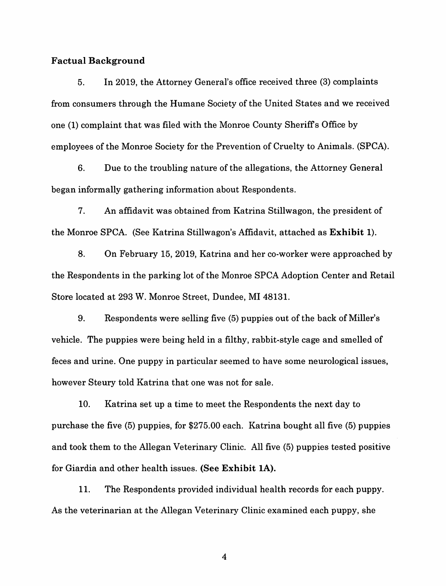#### **Factual Background**

5. In 2019, the Attorney General's office received three (3) complaints from consumers through the Humane Society of the United States and we received one (1) complaint that was filed with the Monroe County Sheriffs Office by employees of the Monroe Society for the Prevention of Cruelty to Animals. (SPCA).

6. Due to the troubling nature of the allegations, the Attorney General began informally gathering information about Respondents.

7. An affidavit was obtained from Katrina Stillwagon, the president of the Monroe SPCA. (See Katrina Stillwagon's Affidavit, attached as **Exhibit 1).** 

8. On February 15, 2019, Katrina and her co-worker were approached by the Respondents in the parking lot of the Monroe SPCA Adoption Center and Retail Store located at 293 W. Monroe Street, Dundee, MI 48131.

9. Respondents were selling five (5) puppies out of the back of Miller's vehicle. The puppies were being held in a filthy, rabbit-style cage and smelled of feces and urine. One puppy in particular seemed to have some neurological issues, however Steury told Katrina that one was not for sale.

10. Katrina set up a time to meet the Respondents the next day to purchase the five (5) puppies, for \$275.00 each. Katrina bought all five (5) puppies and took them to the Allegan Veterinary Clinic. All five (5) puppies tested positive for Giardia and other health issues. **(See Exhibit lA).** 

11. The Respondents provided individual health records for each puppy. As the veterinarian at the Allegan Veterinary Clinic examined each puppy, she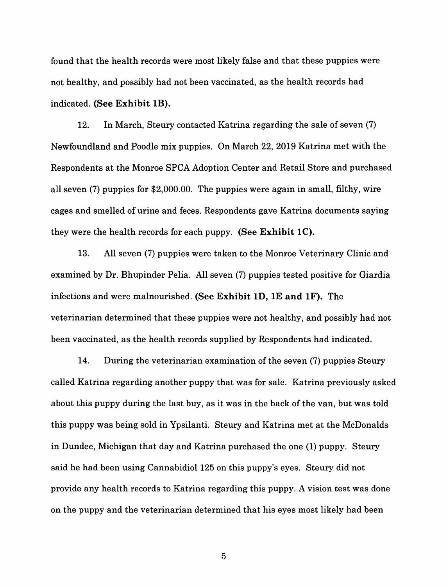found that the health records were most likely false and that these puppies were not healthy, and possibly had not been vaccinated, as the health records had indicated. (See Exhibit IB).

12. In March, Steury contacted Katrina regarding the sale of seven (7) Newfoundland and Poodle mix puppies. On March 22, 2019 Katrina met with the Respondents at the Monroe SPCA Adoption Center and Retail Store and purchased all seven (7) puppies for \$2,000.00. The puppies were again in small, filthy, wire cages and smelled of urine and feces. Respondents gave Katrina documents saying they were the health records for each puppy. **(See Exhibit IC).** 

13. All seven (7) puppies were taken to the Monroe Veterinary Clinic and examined by Dr. Bhupinder Pelia. All seven (7) puppies tested positive for Giardia infections and were malnourished. **(See Exhibit ID, IE and IF).** The veterinarian determined that these puppies were not healthy, and possibly had not been vaccinated, as the health records supplied by Respondents had indicated.

14. During the veterinarian examination of the seven (7) puppies Steury called Katrina regarding another puppy that was for sale. Katrina previously asked about this puppy during the last buy, as it was in the back of the van, but was told this puppy was being sold in Ypsilanti. Steury and Katrina met at the McDonalds in Dundee, Michigan that day and Katrina purchased the one (1) puppy. Steury said he had been using Cannabidiol 125 on this puppy's eyes. Steury did not provide any health records to Katrina regarding this puppy. A vision test was done on the puppy and the veterinarian determined that his eyes most likely had been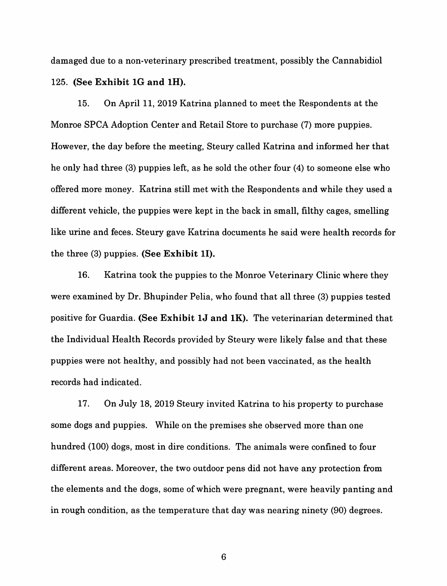damaged due to a non-veterinary prescribed treatment, possibly the Cannabidiol 125. **(See Exhibit lG and lH).** 

15. On April 11, 2019 Katrina planned to meet the Respondents at the Monroe SPCA Adoption Center and Retail Store to purchase (7) more puppies. However, the day before the meeting, Steury called Katrina and informed her that he only had three (3) puppies left, as he sold the other four (4) to someone else who offered more money. Katrina still met with the Respondents and while they used a different vehicle, the puppies were kept in the back in small, filthy cages, smelling like urine and feces. Steury gave Katrina documents he said were health records for the three (3) puppies. **(See Exhibit 11).** 

16. Katrina took the puppies to the Monroe Veterinary Clinic where they were examined by Dr. Bhupinder Pelia, who found that all three (3) puppies tested positive for Guardia. **(See Exhibit lJ and lK).** The veterinarian determined that the Individual Health Records provided by Steury were likely false and that these puppies were not healthy, and possibly had not been vaccinated, as the health records had indicated.

17. On July 18, 2019 Steury invited Katrina to his property to purchase some dogs and puppies. While on the premises she observed more than one hundred (100) dogs, most in dire conditions. The animals were confined to four different areas. Moreover, the two outdoor pens did not have any protection from the elements and the dogs, some of which were pregnant, were heavily panting and in rough condition, as the temperature that day was nearing ninety (90) degrees.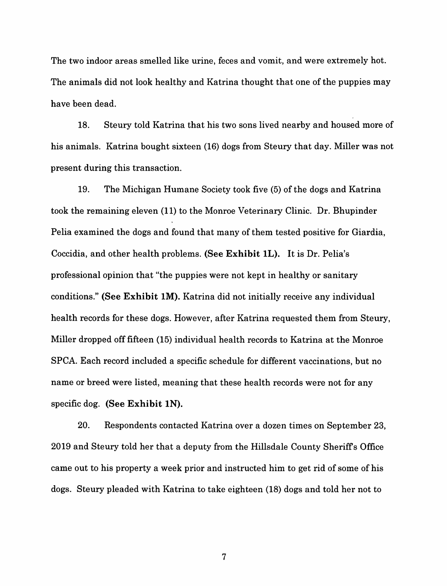The two indoor areas smelled like urine, feces and vomit, and were extremely hot. The animals did not look healthy and Katrina thought that one of the puppies may have been dead.

18. Steury told Katrina that his two sons lived nearby and housed more of his animals. Katrina bought sixteen (16) dogs from Steury that day. Miller was not present during this transaction.

19. The Michigan Humane Society took five (5) of the dogs and Katrina took the remaining eleven (11) to the Monroe Veterinary Clinic. Dr. Bhupinder Pelia examined the dogs and found that many of them tested positive for Giardia, Coccidia, and other health problems. **(See Exhibit lL).** It is Dr. Pelia's professional opinion that "the puppies were not kept in healthy or sanitary conditions." **(See Exhibit lM).** Katrina did not initially receive any individual health records for these dogs. However, after Katrina requested them from Steury, Miller dropped off fifteen (15) individual health records to Katrina at the Monroe SPCA. Each record included a specific schedule for different vaccinations, but no name or breed were listed, meaning that these health records were not for any specific dog. **(See Exhibit lN).** 

20. Respondents contacted Katrina over a dozen times on September 23, 2019 and Steury told her that a deputy from the Hillsdale County Sheriffs Office came out to his property a week prior and instructed him to get rid of some of his dogs. Steury pleaded with Katrina to take eighteen (18) dogs and told her not to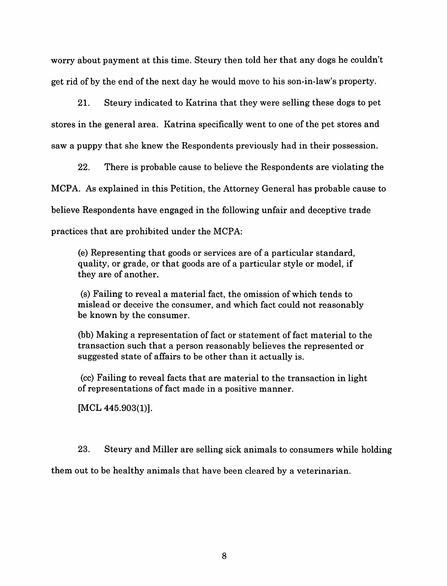worry about payment at this time. Steury then told her that any dogs he couldn't get rid of by the end of the next day he would move to his son-in-law's property.

21. Steury indicated to Katrina that they were selling these dogs to pet stores in the general area. Katrina specifically went to one of the pet stores and saw a puppy that she knew the Respondents previously had in their possession.

22. There is probable cause to believe the Respondents are violating the MCPA. As explained in this Petition, the Attorney General has probable cause to believe Respondents have engaged in the following unfair and deceptive trade practices that are prohibited under the MCPA:

(e) Representing that goods or services are of a particular standard, quality, or grade, or that goods are of a particular style or model, if they are of another.

(s) Failing to reveal a material fact, the omission of which tends to mislead or deceive the consumer, and which fact could not reasonably be known by the consumer.

(bb) Making a representation of fact or statement of fact material to the transaction such that a person reasonably believes the represented or suggested state of affairs to be other than it actually is.

(cc) Failing to reveal facts that are material to the transaction in light of representations of fact made in a positive manner.

[MCL 445.903(1)].

23. Steury and Miller are selling sick animals to consumers while holding

them out to be healthy animals that have been cleared by a veterinarian.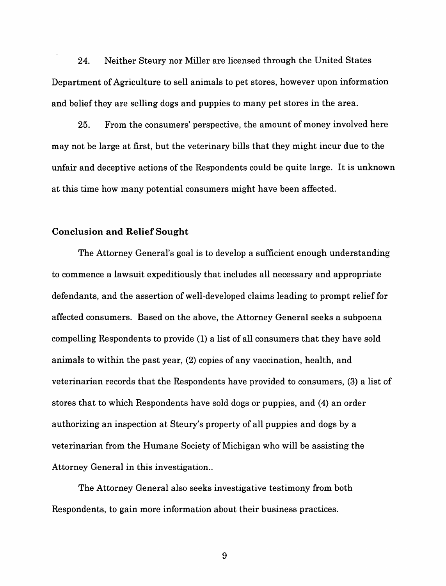24. Neither Steury nor Miller are licensed through the United States Department of Agriculture to sell animals to pet stores, however upon information and belief they are selling dogs and puppies to many pet stores in the area.

25. From the consumers' perspective, the amount of money involved here may not be large at first, but the veterinary bills that they might incur due to the unfair and deceptive actions of the Respondents could be quite large. It is unknown at this time how many potential consumers might have been affected.

### **Conclusion and Relief Sought**

The Attorney General's goal is to develop a sufficient enough understanding to commence a lawsuit expeditiously that includes all necessary and appropriate defendants, and the assertion of well-developed claims leading to prompt relief for affected consumers. Based on the above, the Attorney General seeks a subpoena compelling Respondents to provide (1) a list of all consumers that they have sold animals to within the past year, (2) copies of any vaccination, health, and veterinarian records that the Respondents have provided to consumers, (3) a list of stores that to which Respondents have sold dogs or puppies, and (4) an order authorizing an inspection at Steury's property of all puppies and dogs by a veterinarian from the Humane Society of Michigan who will be assisting the Attorney General in this investigation..

The Attorney General also seeks investigative testimony from both Respondents, to gain more information about their business practices.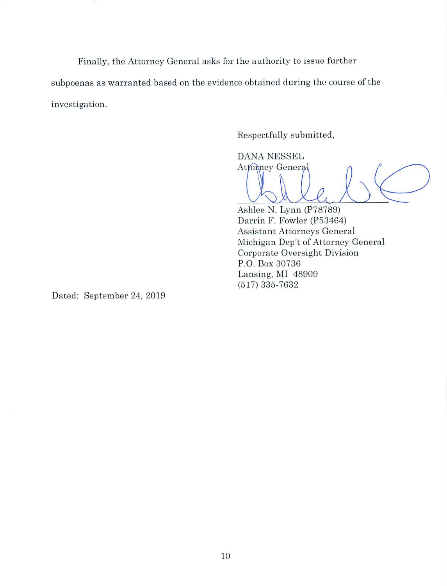Finally, the Attorney General asks for the authority to issue further subpoenas as warranted based on the evidence obtained during the course of the investigation.

Respectfully submitted,

**DANA NESSEL** Attomney General

P.O. Box 30736 Lansing, MI 48909

(517) 335-7632

Ashlee N. Lynn (P78789) Darrin F. Fowler (P53464) **Assistant Attorneys General** Michigan Dep't of Attorney General

Corporate Oversight Division

Dated: September 24, 2019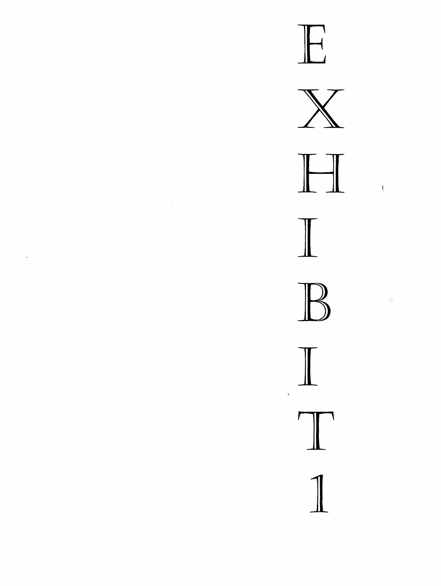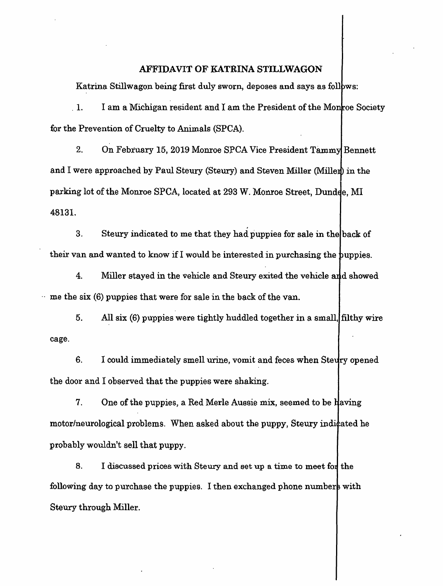### AFFIDAVIT OF KATRINA STILLWAGON

Katrina Stillwagon being first duly sworn, deposes and says as follows:

 $1.$  I am a Michigan resident and I am the President of the Monroe Society for the Prevention of Cruelty to Animals (SPCA).

2. On February 15, 2019 Monroe SPCA Vice President Tammy Bennett and I were approached by Paul Steury (Steury) and Steven Miller (Miller) in the parking lot of the Monroe SPCA, located at 293 W. Monroe Street, Dundde, MI 48131.

3. Steury indicated to me that they had puppies for sale in the back of their van and wanted to know if I would be interested in purchasing the puppies.

4. Miller stayed in the vehicle and Steury exited the vehicle and showed  $\cdot$  me the six (6) puppies that were for sale in the back of the van.

5. All six (6) puppies were tightly huddled together in a small, filthy wire cage.

6. I could immediately smell urine, vomit and feces when Stevery opened the door and I observed that the puppies were shaking.

7. One of the puppies, a Red Merle Aussie mix, seemed to be  $\frac{1}{2}$  aving motor/neurological problems. When asked about the puppy, Steury indicated he probably wouldn't sell that puppy.

8. I discussed prices with Steury and set up a time to meet for the following day to purchase the puppies. I then exchanged phone numbers with Steury through Miller.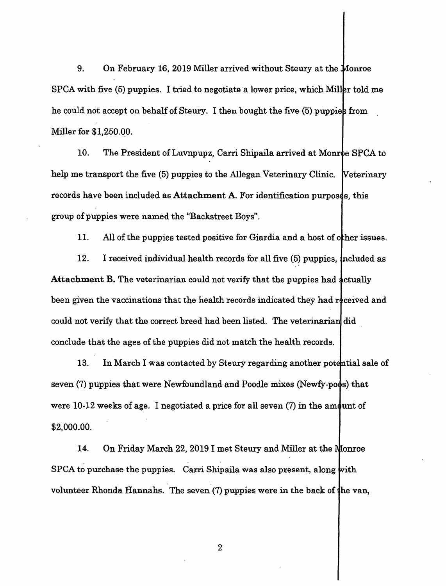9. On February 16, 2019 Miller arrived without Steury at the Monroe  $SPCA$  with five  $(5)$  puppies. I tried to negotiate a lower price, which Miller told me he could not accept on behalf of Steury. I then bought the five  $(5)$  puppies from Miller for \$1,250.00.

10. The President of Luvnpupz, Carri Shipaila arrived at Monroe SPCA to help me transport the five (5) puppies to the Allegan Veterinary Clinic. Veterinary records have been included as Attachment A. For identification purposes, this group of puppies were named the ''Backstreet Boys".

11. All of the puppies tested positive for Giardia and a host of other issues.

12. I received individual health records for all five  $(5)$  puppies, included as Attachment B. The veterinarian could not verify that the puppies had actually been given the vaccinations that the health records indicated they had received and could not verify that the correct breed had been listed. The veterinarian did conclude that the ages of the puppies did not match the health records.

13. In March I was contacted by Steury regarding another potential sale of seven  $(7)$  puppies that were Newfoundland and Poodle mixes (Newfy-poos) that were 10-12 weeks of age. I negotiated a price for all seven  $(7)$  in the amount of \$2,000.00.

14. On Friday March 22, 2019 I met Steury and Miller at the Monroe  $SPCA$  to purchase the puppies. Carri Shipaila was also present, along with . . volunteer Rhonda Hannahs. The seven  $(7)$  puppies were in the back of the van,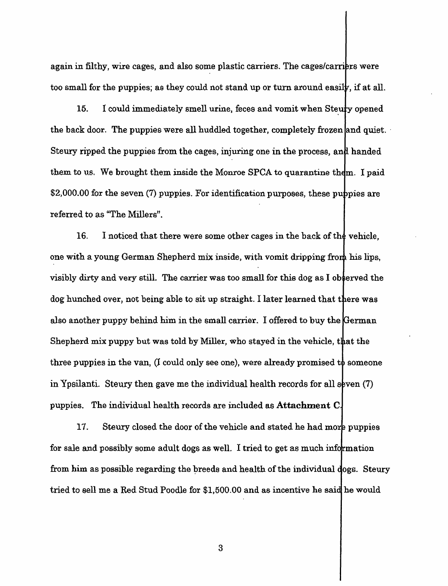again in filthy, wire cages, and also some plastic carriers. The cages/carriers were too small for the puppies; as they could not stand up or turn around easily, if at all.

15. I could immediately smell urine, feces and vomit when Steury opened the back door. The puppies were all huddled together, completely frozen and quiet. Steury ripped the puppies from the cages, injuring one in the process, and handed them to us. We brought them inside the Monroe SPCA to quarantine them. I paid  $$2,000.00$  for the seven (7) puppies. For identification purposes, these puppies are referred to as "The Millers".

16. I noticed that there were some other cages in the back of the vehicle, one with a young German Shepherd mix inside, with vomit dripping fro visibly dirty and very still. The carrier was too small for this dog as I observed the dog hunched over, not being able to sit up straight. I later learned that there was also another puppy behind him in the small carrier. I offered to buy the German Shepherd mix puppy but was told by Miller, who stayed in the vehicle, that the three puppies in the van,  $(1 \text{ could only see one})$ , were already promised to someone in Ypsilanti. Steury then gave me the individual health records for all seven (7) puppies. The individual health records are :included as **Attachment C** 

17. Steury closed the door of the vehicle and stated he had more puppies for sale and possibly some adult dogs as well. I tried to get as much information from him as possible regarding the breeds and health of the individual dogs. Steury tried to sell me a Red Stud Poodle for \$1,500.00 and as incentive he said he would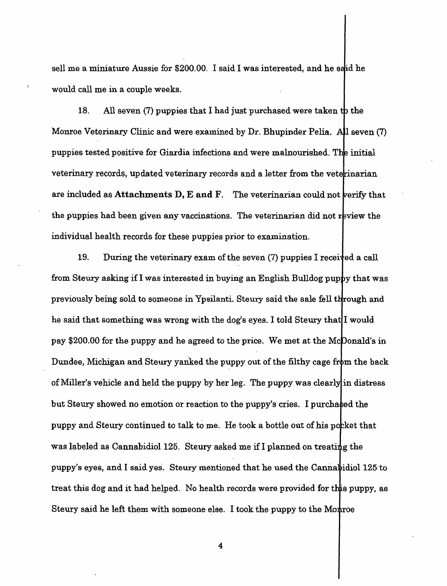sell me a miniature Aussie for  $$200.00$ . I said I was interested, and he said he would call me in a couple weeks.

18. All seven (7) puppies that I had just purchased were taken to the Monroe Veterinary Clinic and were examined by Dr. Bhupinder Pelia. All seven (7) puppies tested positive for Giardia infections and were malnourished. The initial veterinary records, updated veterinary records and a letter from the veterinarian are included as Attachments D, E and F. The veterinarian could not verify that the puppies had been given any vaccinations. The veterinarian did not review the individual health records for these puppies prior to examination.

19. During the veterinary exam of the seven (7) puppies I received a call from Steury asking if I was interested in buying an English Bulldog puppy that was previously being sold to someone in Ypsilanti. Steury said the sale fell through and he said that something was wrong with the dog's eyes. I told Steury that I would pay \$200.00 for the puppy and he agreed to the price. We met at the McDonald's in Dundee, Michigan and Steury yanked the puppy out of the filthy cage from the back of Miller's vehicle and held the puppy by her leg. The puppy was clearly in distress but Steury showed no emotion or reaction to the puppy's cries. I purchased the puppy and Steury continued to talk to me. He took a bottle out of his pocket that was labeled as Cannabidiol 125. Steury asked me if I planned on treating the puppy's eyes, and I said yes. Steury mentioned that he used the Cannabidiol  $125~\text{to}$ treat this dog and it had helped. No health records were provided for this puppy, as Steury said he left them with someone else. I took the puppy to the Motroe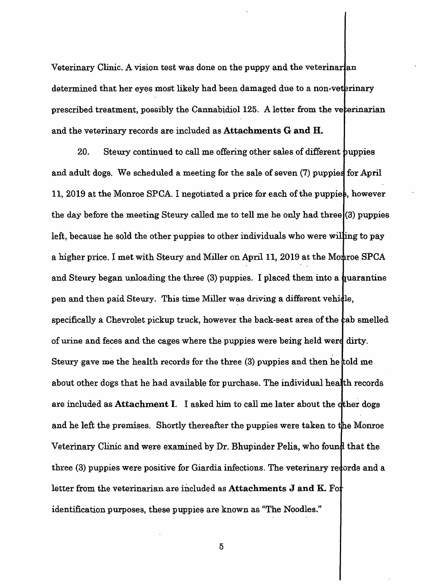Veterinary Clinic. A vision test was done on the puppy and the veterinarian determined that her eyes most likely had been damaged due to a non-veterinary prescribed treatment, possibly the Cannabidiol 125. A letter from the veterinarian and the veterinary records are included as Attachments **G and H.** 

20. Steury continued to call me offering other sales of different puppies and adult dogs. We scheduled a meeting for the sale of seven (7) puppies for April 11, 2019 at the Monroe SPCA. I negotiated a price for each of the puppies, however the day before the meeting Steury called me to tell me he only had three  $(3)$  puppies left, because he sold the other puppies to other individuals who were willing to pay a higher price. I met with Steury and Miller on April 11, 2019 at the Monroe SPCA and Steury began unloading the three  $(3)$  puppies. I placed them into a quarantine pen and then paid Steury. This time Miller was driving a different vehidle, specifically a Chevrolet pickup truck, however the back-seat area of the cab smelled of urine and feces and the cages where the puppies were being held wer Steury gave me the health records for the three (3) puppies and then he about other dogs that he had available for purchase. The individual he are included as **Attachment** I. I asked him to call me later about the and he left the premises. Shortly thereafter the puppies were taken to the Monroe Veterinary Clinic and were examined by Dr. Bhupinder Pelia, who found that the three (3) puppies were positive for Giardia infections. The veterinary redords and a letter from the veterinarian are included as **Attachments J and K.** Fo identification purposes, these puppies are known as "The Noodles."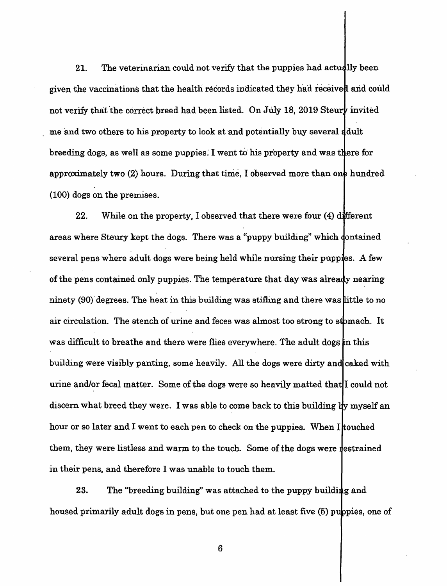21. The veterinarian could not verify that the puppies had actually been given the vaccinations that the health records indicated they had received and could not verify that the correct breed had been listed. On July 18, 2019 Steury invited me and two others to his property to look at and potentially buy several adult breeding dogs, as well as some puppies. I went to his property and was there for approximately two  $(2)$  hours. During that time, I observed more than one hundred (100) dogs on the premises.

22. While on the property, I observed that there were four  $(4)$  different areas where Steury kept the dogs. There was a "puppy building" which dontained several pens where adult dogs were being held while nursing their pupples. A few of the pens contained only puppies. The temperature that day was already nearing ninety  $(90)$  degrees. The heat in this building was stifling and there was little to no air circulation. The stench of urine and feces was almost too strong to stomach. It was difficult to breathe and there were flies everywhere. The adult dogs in this building were visibly panting, some heavily. All the dogs were dirty and caked with urine and/or fecal matter. Some of the dogs were so heavily matted that I could not discern what breed they were. I was able to come back to this building by myself an hour or so later and I went to each pen to check on the puppies. When I touched them, they were listless and warm to the touch. Some of the dogs were restrained in their pens, and therefore I was unable to touch them.

23. The "breeding building" was attached to the puppy building and housed primarily adult dogs in pens, but one pen had at least five (5) puppies, one of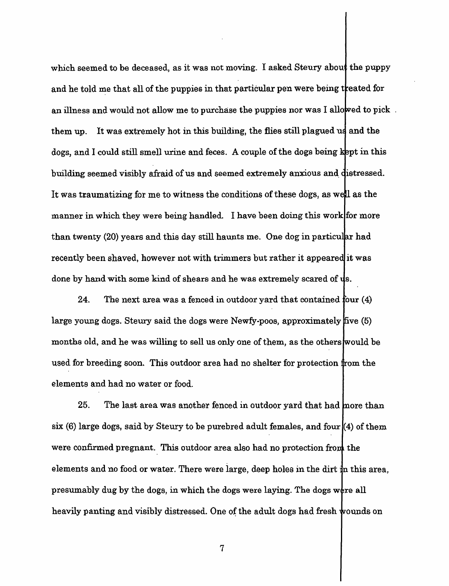which seemed to be deceased, as it was not moving. I asked Steury about the puppy and he told me that all of the puppies in that particular pen were being treated for an illness and would not allow me to purchase the puppies nor was I allowed to pick. them up. It was extremely hot in this building, the flies still plagued u dogs, and I could still smell urine and feces. A couple of the dogs being kept in this building seemed visibly afraid of us and seemed extremely anxious and distressed. It was traumatizing for me to witness the conditions of these dogs, as well as the manner in which they were being handled. I have been doing this work for more than twenty (20) years and this day still haunts me. One dog in particular had recently been shaved, however not with trimmers but rather it appeared it was done by hand with some kind of shears and he was extremely scared of  $\psi$ s.

24. The next area was a fenced in outdoor yard that contained four  $(4)$ large young dogs. Steury said the dogs were Newfy-poos, approximately five (5) months old, and he was willing to sell us only one of them, as the others would be used for breeding soon. This outdoor area had no shelter for protection from the elements and had no water or food.

25. The last area was another fenced in outdoor yard that had more than six  $(6)$  large dogs, said by Steury to be purebred adult females, and four  $(4)$  of them were confirmed pregnant. This outdoor area also had no protection from the elements and no food or water. There were large, deep holes in the dirt  $\frac{1}{k}$ n this area, presumably dug by the dogs, in which the dogs were laying. The dogs were all heavily panting and visibly distressed. One of the adult dogs had fresh wounds on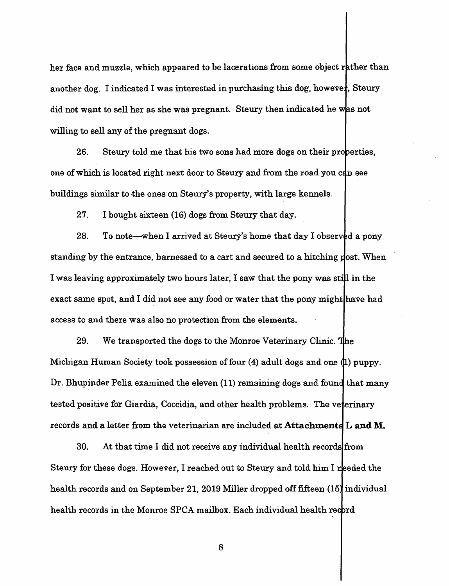her face and muzzle, which appeared to be lacerations from some object rather than another dog. I indicated I was interested in purchasing this dog, however, Steury did not want to sell her as she was pregnant. Steury then indicated he was not willing to sell any of the pregnant dogs.

26. Steury told me that his two sons had more dogs on their properties, one of which is located right next door to Steury and from the road you can see buildings similar to the ones on Steury's property, with large kennels-

27. I bought sixteen (16) dogs from Steury that day.

28. To note—when I arrived at Steury's home that day I observed a pony standing by the entrance, harnessed to a cart and secured to a hitching post. When I was leaving approximately two hours later, I saw that the pony was still in the exact same spot, and I did not see any food or water that the pony might have had access to and there was also no protection from the elements.

29. We transported the dogs to the Monroe Veterinary Clinic. The Michigan Human Society took possession of four  $(4)$  adult dogs and one  $(1)$  puppy. Dr. Bhupinder Pelia examined the eleven (11) remaining dogs and found that many tested positive for Giardia, Coccidia, and other health problems. The veterinary records and a letter from the veterinarian are included at Attachments L and M.

30. At that time I did not receive any individual health records from Steury for these dogs. However, I reached out to Steury and told him I needed the health records and on September 21, 2019 Miller dropped off fifteen (15) individual health records in the Monroe SPCA mailbox. Each individual health record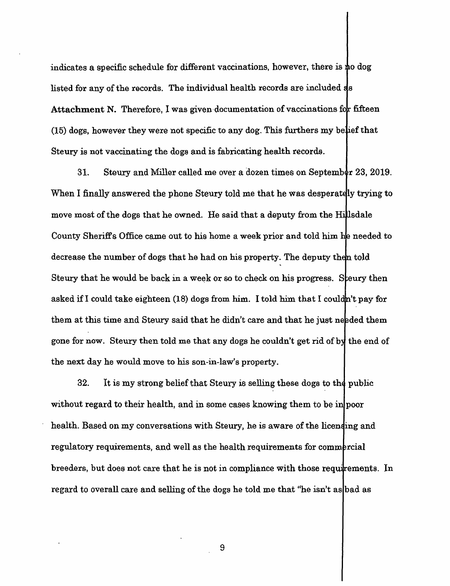indicates a specific schedule for different vaccinations, however, there is listed for any of the records. The individual health records are included as Attachment N. Therefore, I was given documentation of vaccinations for fifteen  $(15)$  dogs, however they were not specific to any dog. This furthers my belief that Steury is not vaccinating the dogs and is fabricating health records.

31. Steury and Miller called me over a dozen times on September 23, 2019. When I finally answered the phone Steury told me that he was desperately trying to move most of the dogs that he owned. He said that a deputy from the Hillsdale County Sheriff's Office came out to his home a week prior and told him he needed to decrease the number of dogs that he had on his property. The deputy then told Steury that he would be back in a week or so to check on his progress. Steury then asked if I could take eighteen  $(18)$  dogs from him. I told him that I couldn't pay for them at this time and Steury said that he didn't care and that he just needed them gone for now. Steury then told me that any dogs he couldn't get rid of by the end of the next day he would move to his son-in-law's property.

 $32.$  It is my strong belief that Steury is selling these dogs to the public without regard to their health, and in some cases knowing them to be in poor health. Based on my conversations with Steury, he is aware of the licending and regulatory requirements, and well as the health requirements for commercial breeders, but does not care that he is not in compliance with those requirements. In regard to overall care and selling of the dogs he told me that "he isn't as bad as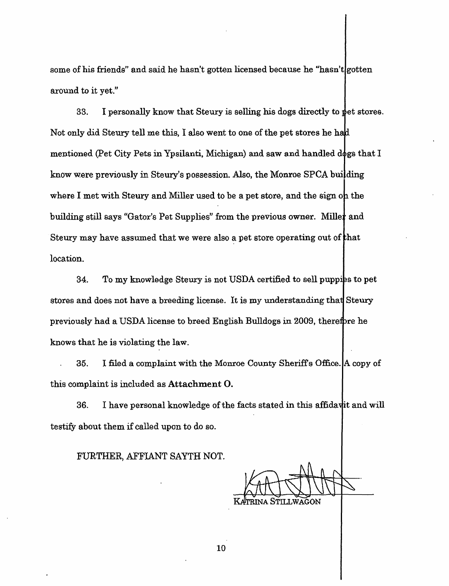some of his friends" and said he hasn't gotten licensed because he "hasn't gotten around to it yet."

33. I personally know that Steury is selling his dogs directly to pet stores. Not only did Steury tell me this, I also went to one of the pet stores he h mentioned (Pet City Pets in Ypsilanti, Michigan) and saw and handled dogs that  $I$ know were previously in Steury's possession. Also, the Monroe SPCA building where I met with Steury and Miller used to be a pet store, and the sign oh the building still says "Gator's Pet Supplies" from the previous owner. Miller and Steury may have assumed that we were also a pet store operating out of that location.

34. To my knowledge Steury is not USDA certified to sell puppies to pet stores and does not have a breeding license. It is my understanding tha previously had a USDA license to breed English Bulldogs in 2009, therefore he knows that he is violating the law.

35. I filed a complaint with the Monroe County Sheriffs Office. A copy of this complaint is included as **Attachment 0.** 

36. I have personal knowledge of the facts stated in this affidavit and will testify about them if called upon to do so.

FURTHER, AFFIANT SAYTH NOT.

trina Stillwagon